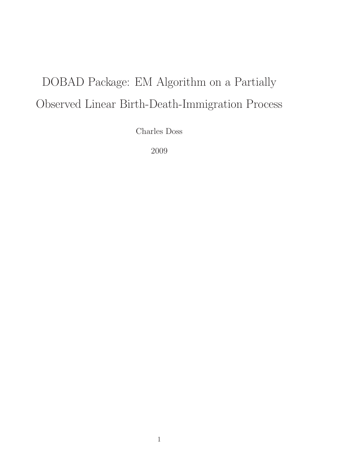## DOBAD Package: EM Algorithm on a Partially Observed Linear Birth-Death-Immigration Process

Charles Doss

2009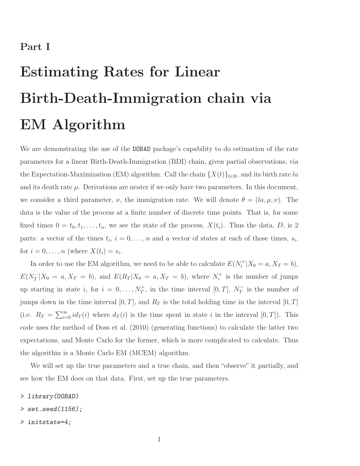## Part I

## Estimating Rates for Linear Birth-Death-Immigration chain via EM Algorithm

We are demonstrating the use of the DOBAD package's capability to do estimation of the rate parameters for a linear Birth-Death-Immigration (BDI) chain, given partial observations, via the Expectation-Maximization (EM) algorithm. Call the chain  $\{X(t)\}_{t\in\mathbb{R}}$ , and its birth rate la and its death rate  $\mu$ . Derivations are neater if we only have two parameters. In this document, we consider a third parameter,  $\nu$ , the immigration rate. We will denote  $\theta = (l_a, \mu, \nu)$ . The data is the value of the process at a finite number of discrete time points. That is, for some fixed times  $0 = t_0, t_1, \ldots, t_n$ , we see the state of the process,  $X(t_i)$ . Thus the data, D, is 2 parts: a vector of the times  $t_i$ ,  $i = 0, \ldots, n$  and a vector of states at each of those times,  $s_i$ , for  $i = 0, \ldots, n$  (where  $X(t_i) = s_i$ .

In order to use the EM algorithm, we need to be able to calculate  $E(N_i^+|X_0=a, X_T=b)$ ,  $E(N_T^-|X_0 = a, X_T = b)$ , and  $E(R_T|X_0 = a, X_T = b)$ , where  $N_t^+$  is the number of jumps up starting in state i, for  $i = 0, \ldots, N_T^+$ , in the time interval  $[0, T]$ ,  $N_T^-$  is the number of jumps down in the time interval  $[0, T]$ , and  $R_T$  is the total holding time in the interval  $[0, T]$ (i.e.  $R_T = \sum_{i=0}^{\infty} id_T(i)$  where  $d_T(i)$  is the time spent in state i in the interval  $[0, T]$ ). This code uses the method of Doss et al. (2010) (generating functions) to calculate the latter two expectations, and Monte Carlo for the former, which is more complicated to calculate. Thus the algorithm is a Monte Carlo EM (MCEM) algorithm.

We will set up the true parameters and a true chain, and then "observe" it partially, and see how the EM does on that data. First, set up the true parameters.

- *> library(DOBAD)*
- *> set.seed(1156);*
- *> initstate=4;*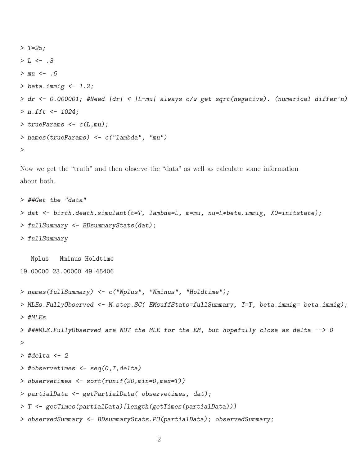```
> T=25;
> L <- .3
> mu <- .6
> beta.immig <- 1.2;
> dr <- 0.000001; #Need |dr| < |L-mu| always o/w get sqrt(negative). (numerical differ'n)
> n.fft <- 1024;
> trueParams <- c(L,mu);
> names(trueParams) <- c("lambda", "mu")
>
```
Now we get the "truth" and then observe the "data" as well as calculate some information about both.

```
> ##Get the "data"
> dat <- birth.death.simulant(t=T, lambda=L, m=mu, nu=L*beta.immig, X0=initstate);
> fullSummary <- BDsummaryStats(dat);
> fullSummary
  Nplus Nminus Holdtime
19.00000 23.00000 49.45406
> names(fullSummary) <- c("Nplus", "Nminus", "Holdtime");
> MLEs.FullyObserved <- M.step.SC( EMsuffStats=fullSummary, T=T, beta.immig= beta.immig);
> #MLEs
> ###MLE.FullyObserved are NOT the MLE for the EM, but hopefully close as delta --> 0
>
> #delta <- 2
> #observetimes <- seq(0,T,delta)
> observetimes <- sort(runif(20,min=0,max=T))
> partialData <- getPartialData( observetimes, dat);
> T <- getTimes(partialData)[length(getTimes(partialData))]
> observedSummary <- BDsummaryStats.PO(partialData); observedSummary;
```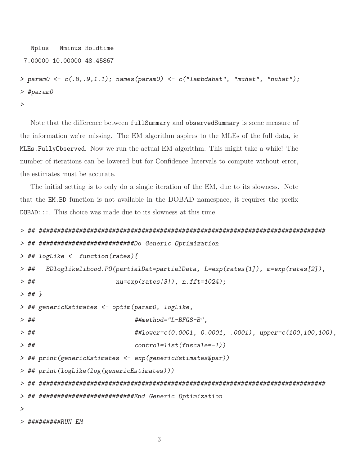```
Nplus
          Nminus Holdtime
7.00000 10.00000 48.45867
```

```
> param0 \leftarrow c(.8,.9,1.1); names(param0) \leftarrow c('lambdahat'', "muhat", "nuhat");>#param0
\geq
```
Note that the difference between fullSummary and observedSummary is some measure of the information we're missing. The EM algorithm aspires to the MLEs of the full data, ie MLEs. FullyObserved. Now we run the actual EM algorithm. This might take a while! The number of iterations can be lowered but for Confidence Intervals to compute without error, the estimates must be accurate.

The initial setting is to only do a single iteration of the EM, due to its slowness. Note that the EM.BD function is not available in the DOBAD namespace, it requires the prefix  $DOBAD$ :::. This choice was made due to its slowness at this time.

```
> ## ##########################Do Generic Optimization
> ## logLike <- function(rates){
     BDloglikelihood.PO(partialDat=partialData, L=exp(rates[1]), m=exp(rates[2]),
> ##
> ##
                    nu=exp(rates[3]), n.fit=1024);> ## }
> ## genericEstimates <- optim(param0, logLike,
> ##
                        ##method="L-BFGS-B",
                        ##lower=c(0.0001, 0.0001, .0001), upper=c(100,100,100),
> ##
                        control=list(fnscale=-1))> ##
> ## print(genericEstimates <- exp(genericEstimates$par))
> ## print(logLike(log(genericEstimates)))
> ## ###########################End Generic Optimization
\geq
```
> #########RUN F.M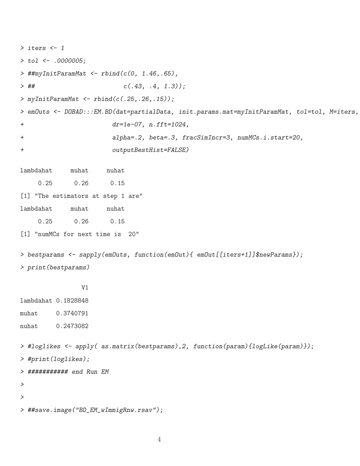```
> iters <- 1
> tol <- .0000005;
> ##myInitParamMat <- rbind(c(0, 1.46,.65),
> ## c(.43, .4, 1.3));
> myInitParamMat <- rbind(c(.25,.26,.15));
> emOuts <- DOBAD:::EM.BD(dat=partialData, init.params.mat=myInitParamMat, tol=tol, M=iters,
+ dr=1e-07, n.fft=1024,
+ alpha=.2, beta=.3, fracSimIncr=3, numMCs.i.start=20,
+ outputBestHist=FALSE)
lambdahat muhat nuhat
    0.25 0.26 0.15
[1] "The estimators at step 1 are"
lambdahat muhat nuhat
    0.25 0.26 0.15
[1] "numMCs for next time is 20"
> bestparams <- sapply(emOuts, function(emOut){ emOut[[iters+1]]$newParams});
> print(bestparams)
              V1
lambdahat 0.1828848
muhat 0.3740791
nuhat 0.2473082
> #loglikes <- apply( as.matrix(bestparams),2, function(param){logLike(param)});
> #print(loglikes);
> ########### end Run EM
>
>
> ##save.image("BD_EM_wImmigRnw.rsav");
```